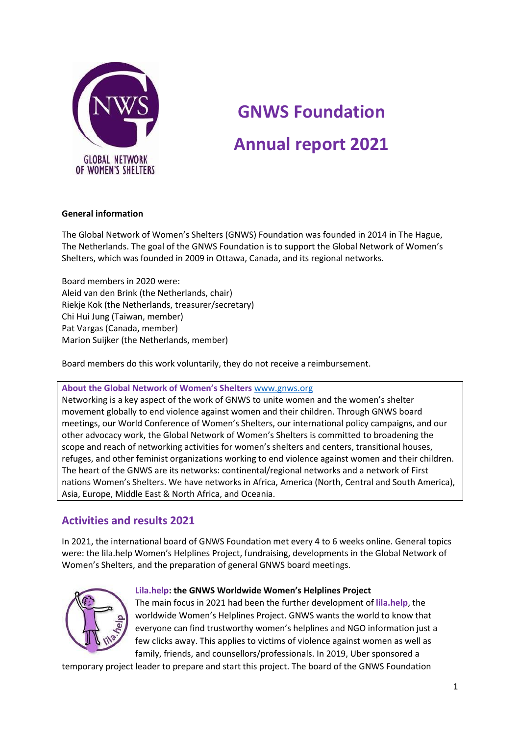

# **GNWS Foundation Annual report 2021**

# **General information**

The Global Network of Women's Shelters (GNWS) Foundation was founded in 2014 in The Hague, The Netherlands. The goal of the GNWS Foundation is to support the Global Network of Women's Shelters, which was founded in 2009 in Ottawa, Canada, and its regional networks.

Board members in 2020 were: Aleid van den Brink (the Netherlands, chair) Riekje Kok (the Netherlands, treasurer/secretary) Chi Hui Jung (Taiwan, member) Pat Vargas (Canada, member) Marion Suijker (the Netherlands, member)

Board members do this work voluntarily, they do not receive a reimbursement.

# **About the Global Network of Women's Shelters** [www.gnws.org](http://www.gnws.org/)

Networking is a key aspect of the work of GNWS to unite women and the women's shelter movement globally to end violence against women and their children. Through GNWS board meetings, our World Conference of Women's Shelters, our international policy campaigns, and our other advocacy work, the Global Network of Women's Shelters is committed to broadening the scope and reach of networking activities for women's shelters and centers, transitional houses, refuges, and other feminist organizations working to end violence against women and their children. The heart of the GNWS are its networks: continental/regional networks and a network of First nations Women's Shelters. We have networks in Africa, America (North, Central and South America), Asia, Europe, Middle East & North Africa, and Oceania.

# **Activities and results 2021**

In 2021, the international board of GNWS Foundation met every 4 to 6 weeks online. General topics were: the lila.help Women's Helplines Project, fundraising, developments in the Global Network of Women's Shelters, and the preparation of general GNWS board meetings.



#### **Lila.help: the GNWS Worldwide Women's Helplines Project**

The main focus in 2021 had been the further development of **lila.help**, the worldwide Women's Helplines Project. GNWS wants the world to know that everyone can find trustworthy women's helplines and NGO information just a few clicks away. This applies to victims of violence against women as well as family, friends, and counsellors/professionals. In 2019, Uber sponsored a

temporary project leader to prepare and start this project. The board of the GNWS Foundation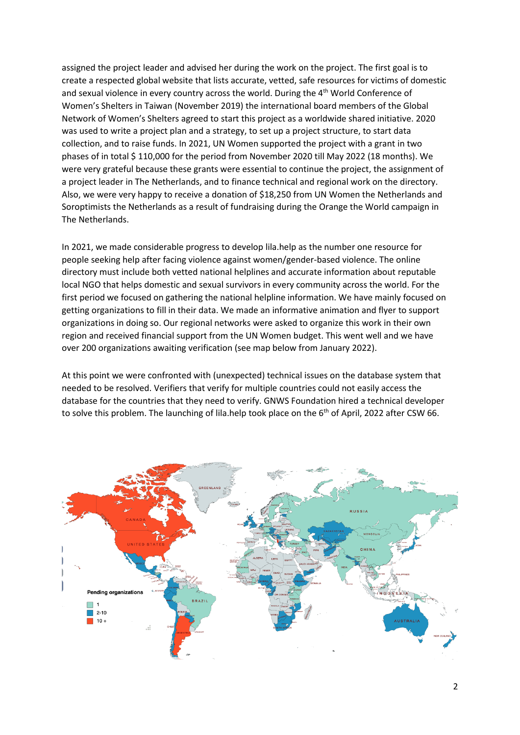assigned the project leader and advised her during the work on the project. The first goal is to create a respected global website that lists accurate, vetted, safe resources for victims of domestic and sexual violence in every country across the world. During the 4<sup>th</sup> World Conference of Women's Shelters in Taiwan (November 2019) the international board members of the Global Network of Women's Shelters agreed to start this project as a worldwide shared initiative. 2020 was used to write a project plan and a strategy, to set up a project structure, to start data collection, and to raise funds. In 2021, UN Women supported the project with a grant in two phases of in total \$ 110,000 for the period from November 2020 till May 2022 (18 months). We were very grateful because these grants were essential to continue the project, the assignment of a project leader in The Netherlands, and to finance technical and regional work on the directory. Also, we were very happy to receive a donation of \$18,250 from UN Women the Netherlands and Soroptimists the Netherlands as a result of fundraising during the Orange the World campaign in The Netherlands.

In 2021, we made considerable progress to develop lila.help as the number one resource for people seeking help after facing violence against women/gender-based violence. The online directory must include both vetted national helplines and accurate information about reputable local NGO that helps domestic and sexual survivors in every community across the world. For the first period we focused on gathering the national helpline information. We have mainly focused on getting organizations to fill in their data. We made an informative animation and flyer to support organizations in doing so. Our regional networks were asked to organize this work in their own region and received financial support from the UN Women budget. This went well and we have over 200 organizations awaiting verification (see map below from January 2022).

At this point we were confronted with (unexpected) technical issues on the database system that needed to be resolved. Verifiers that verify for multiple countries could not easily access the database for the countries that they need to verify. GNWS Foundation hired a technical developer to solve this problem. The launching of lila.help took place on the  $6<sup>th</sup>$  of April, 2022 after CSW 66.